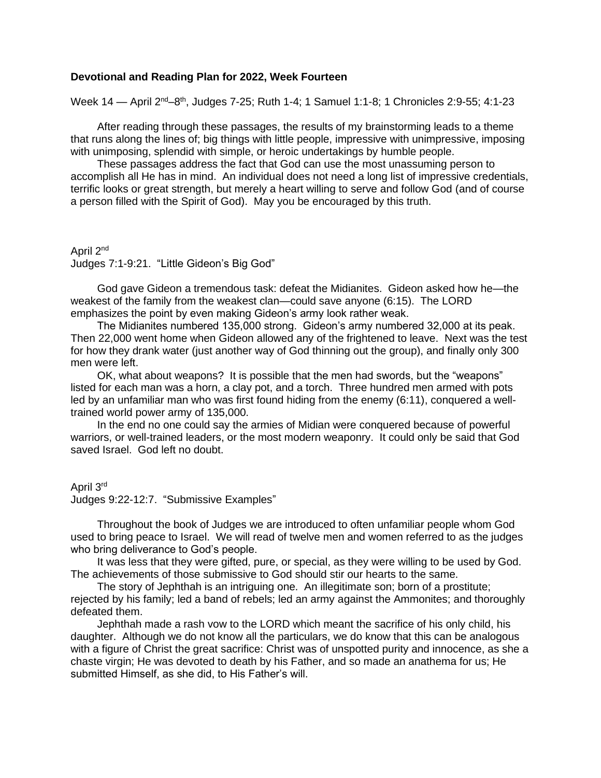# **Devotional and Reading Plan for 2022, Week Fourteen**

Week 14 — April 2<sup>nd</sup>–8<sup>th</sup>, Judges 7-25; Ruth 1-4; 1 Samuel 1:1-8; 1 Chronicles 2:9-55; 4:1-23

After reading through these passages, the results of my brainstorming leads to a theme that runs along the lines of; big things with little people, impressive with unimpressive, imposing with unimposing, splendid with simple, or heroic undertakings by humble people.

These passages address the fact that God can use the most unassuming person to accomplish all He has in mind. An individual does not need a long list of impressive credentials, terrific looks or great strength, but merely a heart willing to serve and follow God (and of course a person filled with the Spirit of God). May you be encouraged by this truth.

April 2nd Judges 7:1-9:21. "Little Gideon's Big God"

God gave Gideon a tremendous task: defeat the Midianites. Gideon asked how he—the weakest of the family from the weakest clan—could save anyone (6:15). The LORD emphasizes the point by even making Gideon's army look rather weak.

The Midianites numbered 135,000 strong. Gideon's army numbered 32,000 at its peak. Then 22,000 went home when Gideon allowed any of the frightened to leave. Next was the test for how they drank water (just another way of God thinning out the group), and finally only 300 men were left.

OK, what about weapons? It is possible that the men had swords, but the "weapons" listed for each man was a horn, a clay pot, and a torch. Three hundred men armed with pots led by an unfamiliar man who was first found hiding from the enemy (6:11), conquered a welltrained world power army of 135,000.

In the end no one could say the armies of Midian were conquered because of powerful warriors, or well-trained leaders, or the most modern weaponry. It could only be said that God saved Israel. God left no doubt.

### April 3rd

Judges 9:22-12:7. "Submissive Examples"

Throughout the book of Judges we are introduced to often unfamiliar people whom God used to bring peace to Israel. We will read of twelve men and women referred to as the judges who bring deliverance to God's people.

It was less that they were gifted, pure, or special, as they were willing to be used by God. The achievements of those submissive to God should stir our hearts to the same.

The story of Jephthah is an intriguing one. An illegitimate son; born of a prostitute; rejected by his family; led a band of rebels; led an army against the Ammonites; and thoroughly defeated them.

Jephthah made a rash vow to the LORD which meant the sacrifice of his only child, his daughter. Although we do not know all the particulars, we do know that this can be analogous with a figure of Christ the great sacrifice: Christ was of unspotted purity and innocence, as she a chaste virgin; He was devoted to death by his Father, and so made an anathema for us; He submitted Himself, as she did, to His Father's will.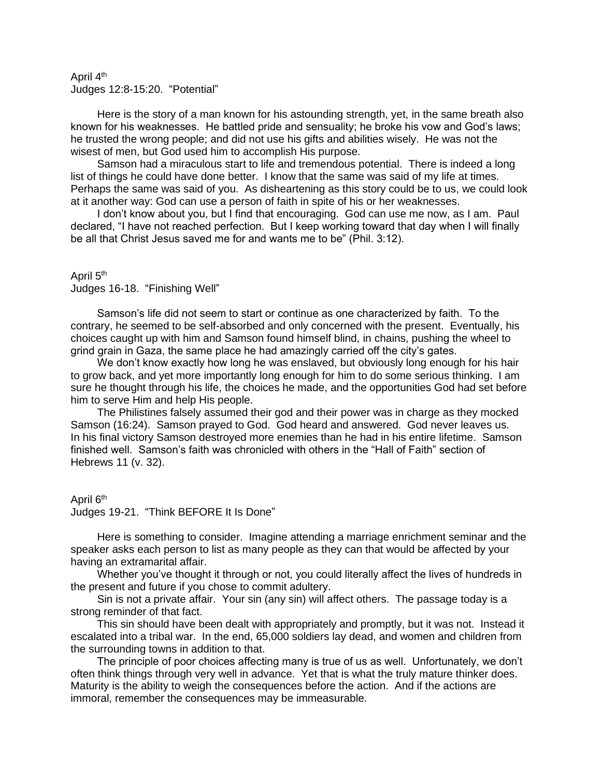## April 4<sup>th</sup> Judges 12:8-15:20. "Potential"

Here is the story of a man known for his astounding strength, yet, in the same breath also known for his weaknesses. He battled pride and sensuality; he broke his vow and God's laws; he trusted the wrong people; and did not use his gifts and abilities wisely. He was not the wisest of men, but God used him to accomplish His purpose.

Samson had a miraculous start to life and tremendous potential. There is indeed a long list of things he could have done better. I know that the same was said of my life at times. Perhaps the same was said of you. As disheartening as this story could be to us, we could look at it another way: God can use a person of faith in spite of his or her weaknesses.

I don't know about you, but I find that encouraging. God can use me now, as I am. Paul declared, "I have not reached perfection. But I keep working toward that day when I will finally be all that Christ Jesus saved me for and wants me to be" (Phil. 3:12).

# April 5<sup>th</sup>

Judges 16-18. "Finishing Well"

Samson's life did not seem to start or continue as one characterized by faith. To the contrary, he seemed to be self-absorbed and only concerned with the present. Eventually, his choices caught up with him and Samson found himself blind, in chains, pushing the wheel to grind grain in Gaza, the same place he had amazingly carried off the city's gates.

We don't know exactly how long he was enslaved, but obviously long enough for his hair to grow back, and yet more importantly long enough for him to do some serious thinking. I am sure he thought through his life, the choices he made, and the opportunities God had set before him to serve Him and help His people.

The Philistines falsely assumed their god and their power was in charge as they mocked Samson (16:24). Samson prayed to God. God heard and answered. God never leaves us. In his final victory Samson destroyed more enemies than he had in his entire lifetime. Samson finished well. Samson's faith was chronicled with others in the "Hall of Faith" section of Hebrews 11 (v. 32).

## April 6<sup>th</sup>

Judges 19-21. "Think BEFORE It Is Done"

Here is something to consider. Imagine attending a marriage enrichment seminar and the speaker asks each person to list as many people as they can that would be affected by your having an extramarital affair.

Whether you've thought it through or not, you could literally affect the lives of hundreds in the present and future if you chose to commit adultery.

Sin is not a private affair. Your sin (any sin) will affect others. The passage today is a strong reminder of that fact.

This sin should have been dealt with appropriately and promptly, but it was not. Instead it escalated into a tribal war. In the end, 65,000 soldiers lay dead, and women and children from the surrounding towns in addition to that.

The principle of poor choices affecting many is true of us as well. Unfortunately, we don't often think things through very well in advance. Yet that is what the truly mature thinker does. Maturity is the ability to weigh the consequences before the action. And if the actions are immoral, remember the consequences may be immeasurable.